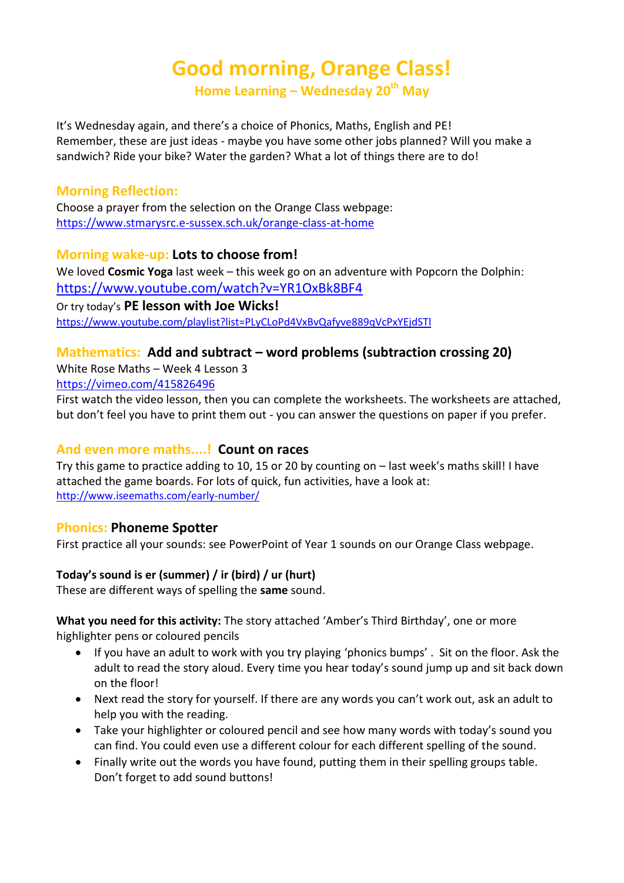# **Good morning, Orange Class!**

**Home Learning – Wednesday 20th May**

It's Wednesday again, and there's a choice of Phonics, Maths, English and PE! Remember, these are just ideas - maybe you have some other jobs planned? Will you make a sandwich? Ride your bike? Water the garden? What a lot of things there are to do!

#### **Morning Reflection:**

Choose a prayer from the selection on the Orange Class webpage: <https://www.stmarysrc.e-sussex.sch.uk/orange-class-at-home>

#### **Morning wake-up: Lots to choose from!**

We loved **Cosmic Yoga** last week – this week go on an adventure with Popcorn the Dolphin: <https://www.youtube.com/watch?v=YR1OxBk8BF4> Or try today's **PE lesson with Joe Wicks!**  <https://www.youtube.com/playlist?list=PLyCLoPd4VxBvQafyve889qVcPxYEjdSTl>

## **Mathematics: Add and subtract – word problems (subtraction crossing 20)**

White Rose Maths – Week 4 Lesson 3

<https://vimeo.com/415826496>

First watch the video lesson, then you can complete the worksheets. The worksheets are attached, but don't feel you have to print them out - you can answer the questions on paper if you prefer.

#### **And even more maths....! Count on races**

Try this game to practice adding to 10, 15 or 20 by counting on – last week's maths skill! I have attached the game boards. For lots of quick, fun activities, have a look at: <http://www.iseemaths.com/early-number/>

#### **Phonics: Phoneme Spotter**

First practice all your sounds: see PowerPoint of Year 1 sounds on our Orange Class webpage.

#### **Today's sound is er (summer) / ir (bird) / ur (hurt)**

These are different ways of spelling the **same** sound.

#### **What you need for this activity:** The story attached 'Amber's Third Birthday', one or more

highlighter pens or coloured pencils

- If you have an adult to work with you try playing 'phonics bumps' . Sit on the floor. Ask the adult to read the story aloud. Every time you hear today's sound jump up and sit back down on the floor!
- Next read the story for yourself. If there are any words you can't work out, ask an adult to help you with the reading.
- Take your highlighter or coloured pencil and see how many words with today's sound you can find. You could even use a different colour for each different spelling of the sound.
- Finally write out the words you have found, putting them in their spelling groups table. Don't forget to add sound buttons!